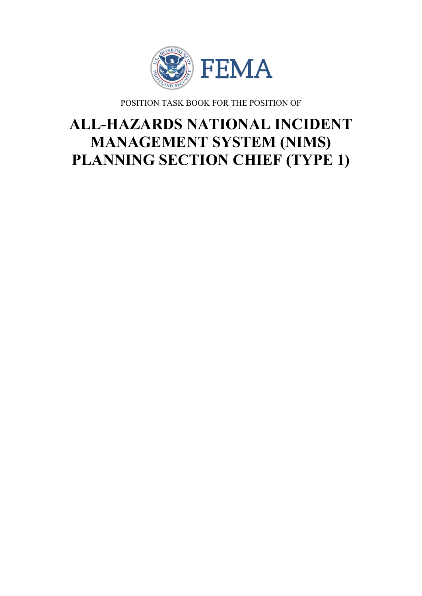

POSITION TASK BOOK FOR THE POSITION OF

# **ALL-HAZARDS NATIONAL INCIDENT MANAGEMENT SYSTEM (NIMS) PLANNING SECTION CHIEF (TYPE 1)**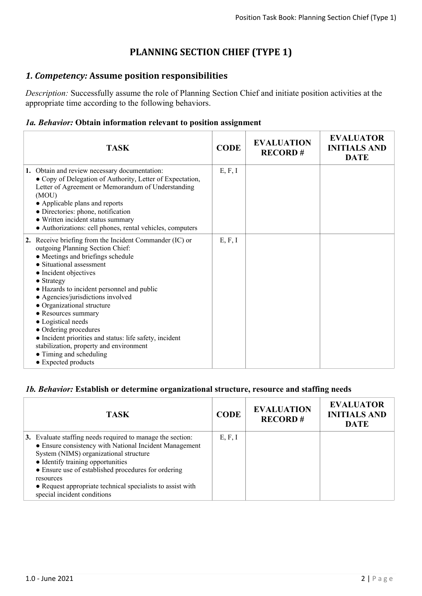# **PLANNING SECTION CHIEF (TYPE 1)**

## *1. Competency:* **Assume position responsibilities**

*Description:* Successfully assume the role of Planning Section Chief and initiate position activities at the appropriate time according to the following behaviors.

#### *1a. Behavior:* **Obtain information relevant to position assignment**

| <b>TASK</b>                                                                                                                                                                                                                                                                                                                                                                                                                                                                                                                                                | <b>CODE</b> | <b>EVALUATION</b><br><b>RECORD#</b> | <b>EVALUATOR</b><br><b>INITIALS AND</b><br><b>DATE</b> |
|------------------------------------------------------------------------------------------------------------------------------------------------------------------------------------------------------------------------------------------------------------------------------------------------------------------------------------------------------------------------------------------------------------------------------------------------------------------------------------------------------------------------------------------------------------|-------------|-------------------------------------|--------------------------------------------------------|
| 1. Obtain and review necessary documentation:<br>• Copy of Delegation of Authority, Letter of Expectation,<br>Letter of Agreement or Memorandum of Understanding<br>(MOU)<br>• Applicable plans and reports<br>· Directories: phone, notification<br>• Written incident status summary<br>• Authorizations: cell phones, rental vehicles, computers                                                                                                                                                                                                        | E, F, I     |                                     |                                                        |
| 2. Receive briefing from the Incident Commander (IC) or<br>outgoing Planning Section Chief:<br>• Meetings and briefings schedule<br>• Situational assessment<br>• Incident objectives<br>$\bullet$ Strategy<br>• Hazards to incident personnel and public<br>• Agencies/jurisdictions involved<br>• Organizational structure<br>• Resources summary<br>• Logistical needs<br>• Ordering procedures<br>• Incident priorities and status: life safety, incident<br>stabilization, property and environment<br>• Timing and scheduling<br>• Expected products | E, F, I     |                                     |                                                        |

#### *1b. Behavior:* **Establish or determine organizational structure, resource and staffing needs**

| TASK                                                                                                                                                                                                                                                                                                                                                                 | <b>CODE</b> | <b>EVALUATION</b><br><b>RECORD#</b> | <b>EVALUATOR</b><br><b>INITIALS AND</b><br><b>DATE</b> |
|----------------------------------------------------------------------------------------------------------------------------------------------------------------------------------------------------------------------------------------------------------------------------------------------------------------------------------------------------------------------|-------------|-------------------------------------|--------------------------------------------------------|
| 3. Evaluate staffing needs required to manage the section:<br>• Ensure consistency with National Incident Management<br>System (NIMS) organizational structure<br>• Identify training opportunities<br>• Ensure use of established procedures for ordering<br>resources<br>• Request appropriate technical specialists to assist with<br>special incident conditions | E, F, I     |                                     |                                                        |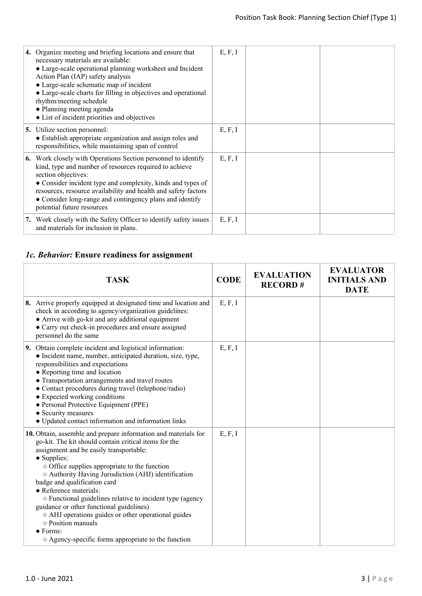| 4. Organize meeting and briefing locations and ensure that<br>necessary materials are available:<br>• Large-scale operational planning worksheet and Incident<br>Action Plan (IAP) safety analysis<br>• Large-scale schematic map of incident<br>• Large-scale charts for filling in objectives and operational<br>rhythm/meeting schedule<br>• Planning meeting agenda          | E, F, I |  |
|----------------------------------------------------------------------------------------------------------------------------------------------------------------------------------------------------------------------------------------------------------------------------------------------------------------------------------------------------------------------------------|---------|--|
| • List of incident priorities and objectives                                                                                                                                                                                                                                                                                                                                     |         |  |
| <b>5.</b> Utilize section personnel:<br>• Establish appropriate organization and assign roles and<br>responsibilities, while maintaining span of control                                                                                                                                                                                                                         | E, F, I |  |
| <b>6.</b> Work closely with Operations Section personnel to identify<br>kind, type and number of resources required to achieve<br>section objectives:<br>• Consider incident type and complexity, kinds and types of<br>resources, resource availability and health and safety factors<br>• Consider long-range and contingency plans and identify<br>potential future resources | E, F, I |  |
| 7. Work closely with the Safety Officer to identify safety issues<br>and materials for inclusion in plans.                                                                                                                                                                                                                                                                       | E, F, I |  |

# *1c. Behavior:* **Ensure readiness for assignment**

| <b>TASK</b>                                                                                                                                                                                                                                                                                                                                                                                                                                                                                                                                                                                                                       | <b>CODE</b> | <b>EVALUATION</b><br><b>RECORD#</b> | <b>EVALUATOR</b><br><b>INITIALS AND</b><br><b>DATE</b> |
|-----------------------------------------------------------------------------------------------------------------------------------------------------------------------------------------------------------------------------------------------------------------------------------------------------------------------------------------------------------------------------------------------------------------------------------------------------------------------------------------------------------------------------------------------------------------------------------------------------------------------------------|-------------|-------------------------------------|--------------------------------------------------------|
| 8. Arrive properly equipped at designated time and location and<br>check in according to agency/organization guidelines:<br>• Arrive with go-kit and any additional equipment<br>• Carry out check-in procedures and ensure assigned<br>personnel do the same                                                                                                                                                                                                                                                                                                                                                                     | E, F, I     |                                     |                                                        |
| 9. Obtain complete incident and logistical information:<br>• Incident name, number, anticipated duration, size, type,<br>responsibilities and expectations<br>• Reporting time and location<br>• Transportation arrangements and travel routes<br>• Contact procedures during travel (telephone/radio)<br>• Expected working conditions<br>• Personal Protective Equipment (PPE)<br>• Security measures<br>• Updated contact information and information links                                                                                                                                                                    | E, F, I     |                                     |                                                        |
| 10. Obtain, assemble and prepare information and materials for<br>go-kit. The kit should contain critical items for the<br>assignment and be easily transportable:<br>• Supplies:<br>$\circ$ Office supplies appropriate to the function<br>O Authority Having Jurisdiction (AHJ) identification<br>badge and qualification card<br>• Reference materials:<br>o Functional guidelines relative to incident type (agency<br>guidance or other functional guidelines)<br>o AHJ operations guides or other operational guides<br>$\circ$ Position manuals<br>$\bullet$ Forms:<br>○ Agency-specific forms appropriate to the function | E, F, I     |                                     |                                                        |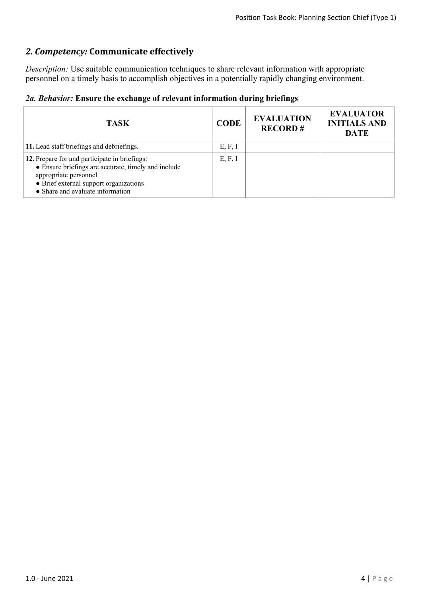# *2. Competency:* **Communicate effectively**

*Description:* Use suitable communication techniques to share relevant information with appropriate personnel on a timely basis to accomplish objectives in a potentially rapidly changing environment.

|  |  |  |  |  | 2a. Behavior: Ensure the exchange of relevant information during briefings |  |  |
|--|--|--|--|--|----------------------------------------------------------------------------|--|--|
|--|--|--|--|--|----------------------------------------------------------------------------|--|--|

| <b>TASK</b>                                                                                                                                                                                                 | <b>CODE</b> | <b>EVALUATION</b><br><b>RECORD#</b> | <b>EVALUATOR</b><br><b>INITIALS AND</b><br><b>DATE</b> |
|-------------------------------------------------------------------------------------------------------------------------------------------------------------------------------------------------------------|-------------|-------------------------------------|--------------------------------------------------------|
| 11. Lead staff briefings and debriefings.                                                                                                                                                                   | E, F, I     |                                     |                                                        |
| 12. Prepare for and participate in briefings:<br>• Ensure briefings are accurate, timely and include<br>appropriate personnel<br>• Brief external support organizations<br>• Share and evaluate information | E, F, I     |                                     |                                                        |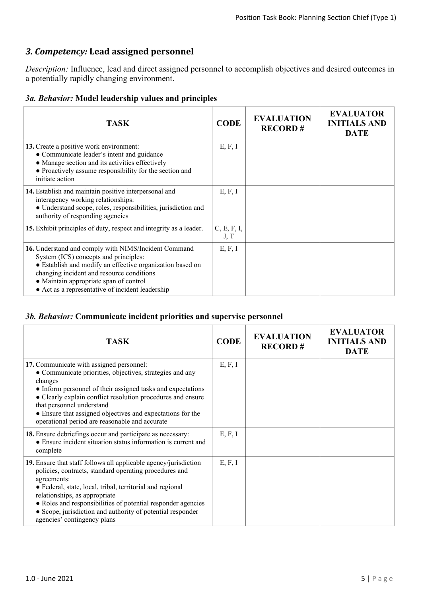## *3. Competency:* **Lead assigned personnel**

*Description:* Influence, lead and direct assigned personnel to accomplish objectives and desired outcomes in a potentially rapidly changing environment.

#### *3a. Behavior:* **Model leadership values and principles**

| <b>TASK</b>                                                                                                                                                                                                                                                                                           | <b>CODE</b>         | <b>EVALUATION</b><br><b>RECORD#</b> | <b>EVALUATOR</b><br><b>INITIALS AND</b><br><b>DATE</b> |
|-------------------------------------------------------------------------------------------------------------------------------------------------------------------------------------------------------------------------------------------------------------------------------------------------------|---------------------|-------------------------------------|--------------------------------------------------------|
| 13. Create a positive work environment:<br>• Communicate leader's intent and guidance<br>• Manage section and its activities effectively<br>• Proactively assume responsibility for the section and<br>initiate action                                                                                | E, F, I             |                                     |                                                        |
| 14. Establish and maintain positive interpersonal and<br>interagency working relationships:<br>· Understand scope, roles, responsibilities, jurisdiction and<br>authority of responding agencies                                                                                                      | E, F, I             |                                     |                                                        |
| 15. Exhibit principles of duty, respect and integrity as a leader.                                                                                                                                                                                                                                    | C, E, F, I,<br>J, T |                                     |                                                        |
| 16. Understand and comply with NIMS/Incident Command<br>System (ICS) concepts and principles:<br>• Establish and modify an effective organization based on<br>changing incident and resource conditions<br>• Maintain appropriate span of control<br>• Act as a representative of incident leadership | E, F, I             |                                     |                                                        |

#### *3b. Behavior:* **Communicate incident priorities and supervise personnel**

| <b>TASK</b>                                                                                                                                                                                                                                                                                                                                                                                          | <b>CODE</b> | <b>EVALUATION</b><br><b>RECORD#</b> | <b>EVALUATOR</b><br><b>INITIALS AND</b><br><b>DATE</b> |
|------------------------------------------------------------------------------------------------------------------------------------------------------------------------------------------------------------------------------------------------------------------------------------------------------------------------------------------------------------------------------------------------------|-------------|-------------------------------------|--------------------------------------------------------|
| 17. Communicate with assigned personnel:<br>• Communicate priorities, objectives, strategies and any<br>changes<br>• Inform personnel of their assigned tasks and expectations<br>• Clearly explain conflict resolution procedures and ensure<br>that personnel understand<br>• Ensure that assigned objectives and expectations for the<br>operational period are reasonable and accurate           | E, F, I     |                                     |                                                        |
| 18. Ensure debriefings occur and participate as necessary:<br>• Ensure incident situation status information is current and<br>complete                                                                                                                                                                                                                                                              | E, F, I     |                                     |                                                        |
| 19. Ensure that staff follows all applicable agency/jurisdiction<br>policies, contracts, standard operating procedures and<br>agreements:<br>• Federal, state, local, tribal, territorial and regional<br>relationships, as appropriate<br>• Roles and responsibilities of potential responder agencies<br>• Scope, jurisdiction and authority of potential responder<br>agencies' contingency plans | E, F, I     |                                     |                                                        |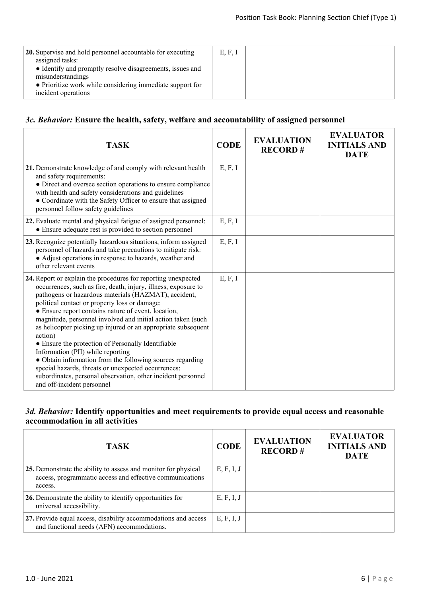| 20. Supervise and hold personnel accountable for executing<br>assigned tasks:<br>• Identify and promptly resolve disagreements, issues and | E, F, I |  |
|--------------------------------------------------------------------------------------------------------------------------------------------|---------|--|
| misunderstandings<br>• Prioritize work while considering immediate support for<br>incident operations                                      |         |  |

#### *3c. Behavior:* **Ensure the health, safety, welfare and accountability of assigned personnel**

| <b>TASK</b>                                                                                                                                                                                                                                                                                                                                                                                                                                                                                                                                                                                                                                                                                                                                              | <b>CODE</b> | <b>EVALUATION</b><br><b>RECORD#</b> | <b>EVALUATOR</b><br><b>INITIALS AND</b><br><b>DATE</b> |
|----------------------------------------------------------------------------------------------------------------------------------------------------------------------------------------------------------------------------------------------------------------------------------------------------------------------------------------------------------------------------------------------------------------------------------------------------------------------------------------------------------------------------------------------------------------------------------------------------------------------------------------------------------------------------------------------------------------------------------------------------------|-------------|-------------------------------------|--------------------------------------------------------|
| 21. Demonstrate knowledge of and comply with relevant health<br>and safety requirements:<br>• Direct and oversee section operations to ensure compliance<br>with health and safety considerations and guidelines<br>• Coordinate with the Safety Officer to ensure that assigned<br>personnel follow safety guidelines                                                                                                                                                                                                                                                                                                                                                                                                                                   | E, F, I     |                                     |                                                        |
| 22. Evaluate mental and physical fatigue of assigned personnel:<br>• Ensure adequate rest is provided to section personnel                                                                                                                                                                                                                                                                                                                                                                                                                                                                                                                                                                                                                               | E, F, I     |                                     |                                                        |
| 23. Recognize potentially hazardous situations, inform assigned<br>personnel of hazards and take precautions to mitigate risk:<br>• Adjust operations in response to hazards, weather and<br>other relevant events                                                                                                                                                                                                                                                                                                                                                                                                                                                                                                                                       | E, F, I     |                                     |                                                        |
| 24. Report or explain the procedures for reporting unexpected<br>occurrences, such as fire, death, injury, illness, exposure to<br>pathogens or hazardous materials (HAZMAT), accident,<br>political contact or property loss or damage:<br>• Ensure report contains nature of event, location,<br>magnitude, personnel involved and initial action taken (such<br>as helicopter picking up injured or an appropriate subsequent<br>action)<br>• Ensure the protection of Personally Identifiable<br>Information (PII) while reporting<br>• Obtain information from the following sources regarding<br>special hazards, threats or unexpected occurrences:<br>subordinates, personal observation, other incident personnel<br>and off-incident personnel | E, F, I     |                                     |                                                        |

### *3d. Behavior:* **Identify opportunities and meet requirements to provide equal access and reasonable accommodation in all activities**

| <b>TASK</b>                                                                                                                           | <b>CODE</b> | <b>EVALUATION</b><br><b>RECORD#</b> | <b>EVALUATOR</b><br><b>INITIALS AND</b><br><b>DATE</b> |
|---------------------------------------------------------------------------------------------------------------------------------------|-------------|-------------------------------------|--------------------------------------------------------|
| 25. Demonstrate the ability to assess and monitor for physical<br>access, programmatic access and effective communications<br>access. | E, F, I, J  |                                     |                                                        |
| 26. Demonstrate the ability to identify opportunities for<br>universal accessibility.                                                 | E, F, I, J  |                                     |                                                        |
| 27. Provide equal access, disability accommodations and access<br>and functional needs (AFN) accommodations.                          | E, F, I, J  |                                     |                                                        |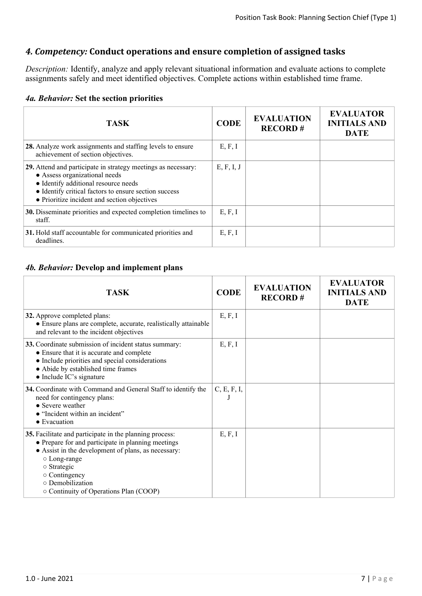## *4. Competency:* **Conduct operations and ensure completion of assigned tasks**

*Description:* Identify, analyze and apply relevant situational information and evaluate actions to complete assignments safely and meet identified objectives. Complete actions within established time frame.

|  | 4a. Behavior: Set the section priorities |  |  |  |  |
|--|------------------------------------------|--|--|--|--|
|--|------------------------------------------|--|--|--|--|

| <b>TASK</b>                                                                                                                                                                                                                                     | <b>CODE</b> | <b>EVALUATION</b><br><b>RECORD#</b> | <b>EVALUATOR</b><br><b>INITIALS AND</b><br><b>DATE</b> |
|-------------------------------------------------------------------------------------------------------------------------------------------------------------------------------------------------------------------------------------------------|-------------|-------------------------------------|--------------------------------------------------------|
| 28. Analyze work assignments and staffing levels to ensure<br>achievement of section objectives.                                                                                                                                                | E, F, I     |                                     |                                                        |
| 29. Attend and participate in strategy meetings as necessary:<br>• Assess organizational needs<br>• Identify additional resource needs<br>• Identify critical factors to ensure section success<br>• Prioritize incident and section objectives | E, F, I, J  |                                     |                                                        |
| 30. Disseminate priorities and expected completion timelines to<br>staff.                                                                                                                                                                       | E, F, I     |                                     |                                                        |
| 31. Hold staff accountable for communicated priorities and<br>deadlines.                                                                                                                                                                        | E, F, I     |                                     |                                                        |

#### *4b. Behavior:* **Develop and implement plans**

| <b>TASK</b>                                                                                                                                                                                                                                                                                    | <b>CODE</b> | <b>EVALUATION</b><br><b>RECORD#</b> | <b>EVALUATOR</b><br><b>INITIALS AND</b><br><b>DATE</b> |
|------------------------------------------------------------------------------------------------------------------------------------------------------------------------------------------------------------------------------------------------------------------------------------------------|-------------|-------------------------------------|--------------------------------------------------------|
| 32. Approve completed plans:<br>• Ensure plans are complete, accurate, realistically attainable<br>and relevant to the incident objectives                                                                                                                                                     | E, F, I     |                                     |                                                        |
| 33. Coordinate submission of incident status summary:<br>• Ensure that it is accurate and complete<br>• Include priorities and special considerations<br>• Abide by established time frames<br>• Include IC's signature                                                                        | E, F, I     |                                     |                                                        |
| 34. Coordinate with Command and General Staff to identify the<br>need for contingency plans:<br>• Severe weather<br>• "Incident within an incident"<br>$\bullet$ Evacuation                                                                                                                    | C, E, F, I, |                                     |                                                        |
| 35. Facilitate and participate in the planning process:<br>• Prepare for and participate in planning meetings<br>• Assist in the development of plans, as necessary:<br>○ Long-range<br>$\circ$ Strategic<br>$\circ$ Contingency<br>o Demobilization<br>○ Continuity of Operations Plan (COOP) | E, F, I     |                                     |                                                        |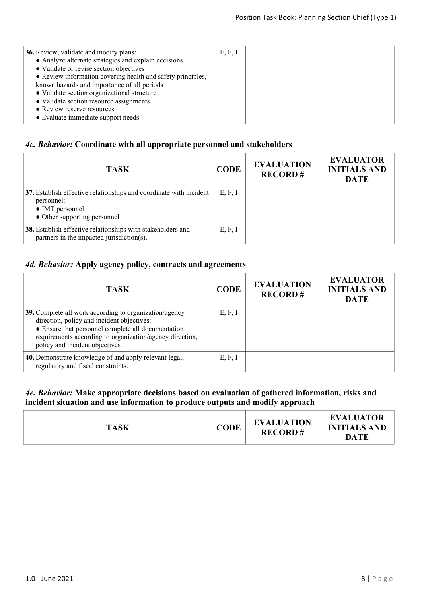| <b>36.</b> Review, validate and modify plans:               | E, F, I |  |
|-------------------------------------------------------------|---------|--|
| • Analyze alternate strategies and explain decisions        |         |  |
| • Validate or revise section objectives                     |         |  |
| • Review information covering health and safety principles, |         |  |
| known hazards and importance of all periods                 |         |  |
| • Validate section organizational structure                 |         |  |
| • Validate section resource assignments                     |         |  |
| • Review reserve resources                                  |         |  |
| • Evaluate immediate support needs                          |         |  |
|                                                             |         |  |

## *4c. Behavior:* **Coordinate with all appropriate personnel and stakeholders**

| <b>TASK</b>                                                                                                                         | <b>CODE</b> | <b>EVALUATION</b><br><b>RECORD#</b> | <b>EVALUATOR</b><br><b>INITIALS AND</b><br><b>DATE</b> |
|-------------------------------------------------------------------------------------------------------------------------------------|-------------|-------------------------------------|--------------------------------------------------------|
| 37. Establish effective relationships and coordinate with incident<br>personnel:<br>• IMT personnel<br>• Other supporting personnel | E, F, I     |                                     |                                                        |
| 38. Establish effective relationships with stakeholders and<br>partners in the impacted jurisdiction(s).                            | E, F, I     |                                     |                                                        |

## *4d. Behavior:* **Apply agency policy, contracts and agreements**

| <b>TASK</b>                                                                                                                                                                                                                                              | <b>CODE</b> | <b>EVALUATION</b><br><b>RECORD#</b> | <b>EVALUATOR</b><br><b>INITIALS AND</b><br><b>DATE</b> |
|----------------------------------------------------------------------------------------------------------------------------------------------------------------------------------------------------------------------------------------------------------|-------------|-------------------------------------|--------------------------------------------------------|
| 39. Complete all work according to organization/agency<br>direction, policy and incident objectives:<br>• Ensure that personnel complete all documentation<br>requirements according to organization/agency direction,<br>policy and incident objectives | E, F, I     |                                     |                                                        |
| 40. Demonstrate knowledge of and apply relevant legal,<br>regulatory and fiscal constraints.                                                                                                                                                             | E, F, I     |                                     |                                                        |

#### *4e. Behavior:* **Make appropriate decisions based on evaluation of gathered information, risks and incident situation and use information to produce outputs and modify approach**

| <b>TASK</b> | <b>CODE</b> | <b>EVALUATION</b><br><b>RECORD#</b> | <b>EVALUATOR</b><br><b>INITIALS AND</b><br>DATE |
|-------------|-------------|-------------------------------------|-------------------------------------------------|
|-------------|-------------|-------------------------------------|-------------------------------------------------|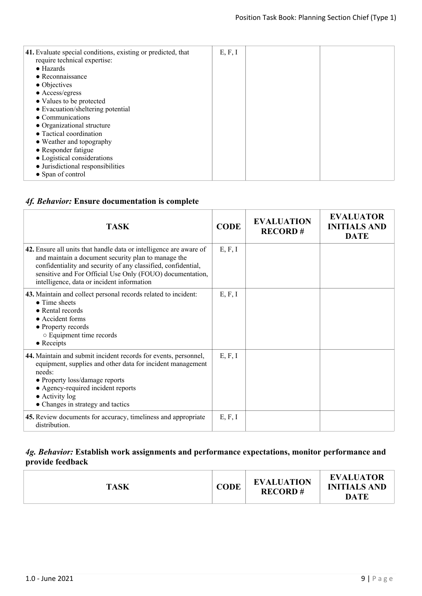| 41. Evaluate special conditions, existing or predicted, that<br>require technical expertise: | E, F, I |  |
|----------------------------------------------------------------------------------------------|---------|--|
| $\bullet$ Hazards                                                                            |         |  |
| $\bullet$ Reconnaissance                                                                     |         |  |
| $\bullet$ Objectives                                                                         |         |  |
| $\bullet$ Access/egress                                                                      |         |  |
| • Values to be protected                                                                     |         |  |
| • Evacuation/sheltering potential                                                            |         |  |
| • Communications                                                                             |         |  |
| • Organizational structure                                                                   |         |  |
| • Tactical coordination                                                                      |         |  |
| • Weather and topography                                                                     |         |  |
| • Responder fatigue                                                                          |         |  |
| • Logistical considerations                                                                  |         |  |
| • Jurisdictional responsibilities                                                            |         |  |
| • Span of control                                                                            |         |  |
|                                                                                              |         |  |

## *4f. Behavior:* **Ensure documentation is complete**

| <b>TASK</b>                                                                                                                                                                                                                                                                                           | <b>CODE</b> | <b>EVALUATION</b><br><b>RECORD#</b> | <b>EVALUATOR</b><br><b>INITIALS AND</b><br><b>DATE</b> |
|-------------------------------------------------------------------------------------------------------------------------------------------------------------------------------------------------------------------------------------------------------------------------------------------------------|-------------|-------------------------------------|--------------------------------------------------------|
| 42. Ensure all units that handle data or intelligence are aware of<br>and maintain a document security plan to manage the<br>confidentiality and security of any classified, confidential,<br>sensitive and For Official Use Only (FOUO) documentation,<br>intelligence, data or incident information | E, F, I     |                                     |                                                        |
| 43. Maintain and collect personal records related to incident:<br>$\bullet$ Time sheets<br>$\bullet$ Rental records<br>• Accident forms<br>• Property records<br>○ Equipment time records<br>$\bullet$ Receipts                                                                                       | E, F, I     |                                     |                                                        |
| 44. Maintain and submit incident records for events, personnel,<br>equipment, supplies and other data for incident management<br>needs:<br>• Property loss/damage reports<br>• Agency-required incident reports<br>$\bullet$ Activity log<br>• Changes in strategy and tactics                        | E, F, I     |                                     |                                                        |
| 45. Review documents for accuracy, timeliness and appropriate<br>distribution.                                                                                                                                                                                                                        | E, F, I     |                                     |                                                        |

#### *4g. Behavior:* **Establish work assignments and performance expectations, monitor performance and provide feedback**

| <b>TASK</b> | <b>CODE</b> | <b>EVALUATION</b><br><b>RECORD#</b> | <b>EVALUATOR</b><br><b>INITIALS AND</b><br><b>DATE</b> |
|-------------|-------------|-------------------------------------|--------------------------------------------------------|
|-------------|-------------|-------------------------------------|--------------------------------------------------------|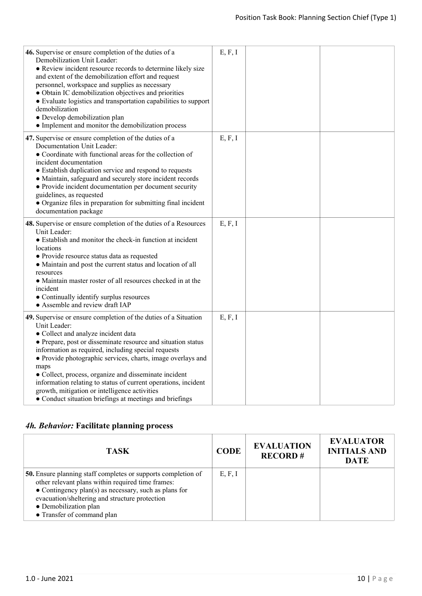| 46. Supervise or ensure completion of the duties of a<br>Demobilization Unit Leader:<br>• Review incident resource records to determine likely size<br>and extent of the demobilization effort and request<br>personnel, workspace and supplies as necessary<br>• Obtain IC demobilization objectives and priorities<br>• Evaluate logistics and transportation capabilities to support<br>demobilization<br>· Develop demobilization plan<br>• Implement and monitor the demobilization process                                                            | E, F, I |  |
|-------------------------------------------------------------------------------------------------------------------------------------------------------------------------------------------------------------------------------------------------------------------------------------------------------------------------------------------------------------------------------------------------------------------------------------------------------------------------------------------------------------------------------------------------------------|---------|--|
| 47. Supervise or ensure completion of the duties of a<br>Documentation Unit Leader:<br>• Coordinate with functional areas for the collection of<br>incident documentation<br>• Establish duplication service and respond to requests<br>• Maintain, safeguard and securely store incident records<br>• Provide incident documentation per document security<br>guidelines, as requested<br>• Organize files in preparation for submitting final incident<br>documentation package                                                                           | E, F, I |  |
| 48. Supervise or ensure completion of the duties of a Resources<br>Unit Leader:<br>• Establish and monitor the check-in function at incident<br>locations<br>• Provide resource status data as requested<br>• Maintain and post the current status and location of all<br>resources<br>• Maintain master roster of all resources checked in at the<br>incident<br>• Continually identify surplus resources<br>• Assemble and review draft IAP                                                                                                               | E, F, I |  |
| 49. Supervise or ensure completion of the duties of a Situation<br>Unit Leader:<br>• Collect and analyze incident data<br>• Prepare, post or disseminate resource and situation status<br>information as required, including special requests<br>• Provide photographic services, charts, image overlays and<br>maps<br>• Collect, process, organize and disseminate incident<br>information relating to status of current operations, incident<br>growth, mitigation or intelligence activities<br>• Conduct situation briefings at meetings and briefings | E, F, I |  |

# *4h. Behavior:* **Facilitate planning process**

| <b>TASK</b>                                                                                                                                                                                                                                                                                 | <b>CODE</b> | <b>EVALUATION</b><br><b>RECORD#</b> | <b>EVALUATOR</b><br><b>INITIALS AND</b><br><b>DATE</b> |
|---------------------------------------------------------------------------------------------------------------------------------------------------------------------------------------------------------------------------------------------------------------------------------------------|-------------|-------------------------------------|--------------------------------------------------------|
| <b>50.</b> Ensure planning staff completes or supports completion of<br>other relevant plans within required time frames:<br>• Contingency plan(s) as necessary, such as plans for<br>evacuation/sheltering and structure protection<br>• Demobilization plan<br>• Transfer of command plan | E, F, I     |                                     |                                                        |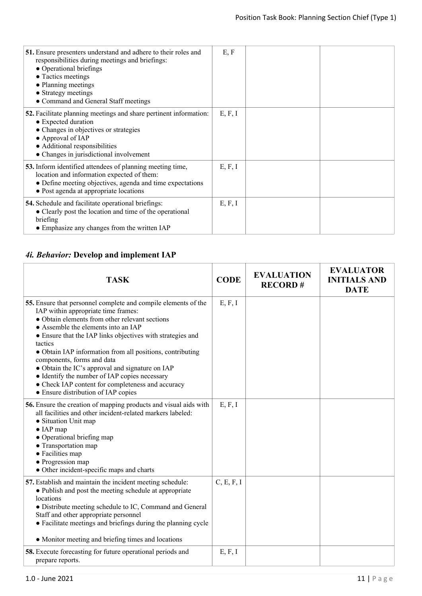| 51. Ensure presenters understand and adhere to their roles and<br>responsibilities during meetings and briefings:<br>• Operational briefings<br>• Tactics meetings<br>• Planning meetings<br>• Strategy meetings<br>• Command and General Staff meetings | E, F    |  |
|----------------------------------------------------------------------------------------------------------------------------------------------------------------------------------------------------------------------------------------------------------|---------|--|
| <b>52.</b> Facilitate planning meetings and share pertinent information:<br>• Expected duration<br>• Changes in objectives or strategies<br>• Approval of IAP<br>• Additional responsibilities<br>• Changes in jurisdictional involvement                | E, F, I |  |
| 53. Inform identified attendees of planning meeting time,<br>location and information expected of them:<br>• Define meeting objectives, agenda and time expectations<br>• Post agenda at appropriate locations                                           | E, F, I |  |
| <b>54.</b> Schedule and facilitate operational briefings:<br>• Clearly post the location and time of the operational<br>briefing<br>• Emphasize any changes from the written IAP                                                                         | E, F, I |  |

# *4i. Behavior:* **Develop and implement IAP**

| <b>TASK</b>                                                                                                                                                                                                                                                                                                                                                                                                                                                                                                                                                        | <b>CODE</b> | <b>EVALUATION</b><br><b>RECORD#</b> | <b>EVALUATOR</b><br><b>INITIALS AND</b><br><b>DATE</b> |
|--------------------------------------------------------------------------------------------------------------------------------------------------------------------------------------------------------------------------------------------------------------------------------------------------------------------------------------------------------------------------------------------------------------------------------------------------------------------------------------------------------------------------------------------------------------------|-------------|-------------------------------------|--------------------------------------------------------|
| 55. Ensure that personnel complete and compile elements of the<br>IAP within appropriate time frames:<br>• Obtain elements from other relevant sections<br>• Assemble the elements into an IAP<br>• Ensure that the IAP links objectives with strategies and<br>tactics<br>• Obtain IAP information from all positions, contributing<br>components, forms and data<br>• Obtain the IC's approval and signature on IAP<br>• Identify the number of IAP copies necessary<br>• Check IAP content for completeness and accuracy<br>• Ensure distribution of IAP copies | E, F, I     |                                     |                                                        |
| 56. Ensure the creation of mapping products and visual aids with<br>all facilities and other incident-related markers labeled:<br>• Situation Unit map<br>$\bullet$ IAP map<br>• Operational briefing map<br>• Transportation map<br>• Facilities map<br>• Progression map<br>• Other incident-specific maps and charts                                                                                                                                                                                                                                            | E, F, I     |                                     |                                                        |
| 57. Establish and maintain the incident meeting schedule:<br>• Publish and post the meeting schedule at appropriate<br>locations<br>• Distribute meeting schedule to IC, Command and General<br>Staff and other appropriate personnel<br>• Facilitate meetings and briefings during the planning cycle<br>• Monitor meeting and briefing times and locations                                                                                                                                                                                                       | C, E, F, I  |                                     |                                                        |
| <b>58.</b> Execute forecasting for future operational periods and<br>prepare reports.                                                                                                                                                                                                                                                                                                                                                                                                                                                                              | E, F, I     |                                     |                                                        |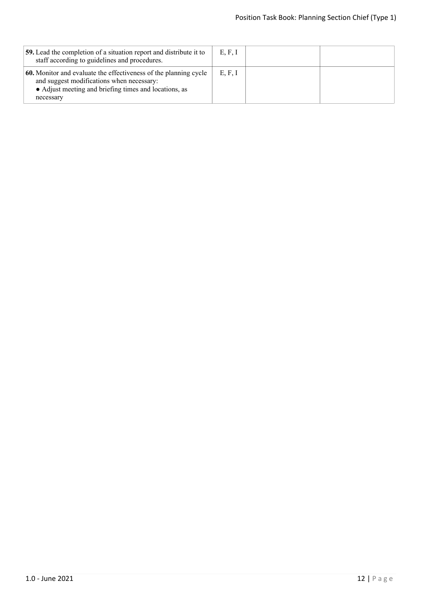| <b>59.</b> Lead the completion of a situation report and distribute it to<br>staff according to guidelines and procedures.                                                          | E, F, I |  |
|-------------------------------------------------------------------------------------------------------------------------------------------------------------------------------------|---------|--|
| 60. Monitor and evaluate the effectiveness of the planning cycle<br>and suggest modifications when necessary:<br>• Adjust meeting and briefing times and locations, as<br>necessary | E, F, I |  |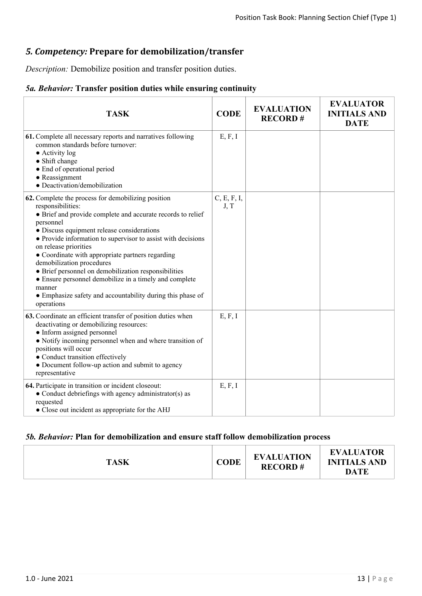## *5. Competency:* **Prepare for demobilization/transfer**

*Description:* Demobilize position and transfer position duties.

## *5a. Behavior:* **Transfer position duties while ensuring continuity**

| <b>TASK</b>                                                                                                                                                                                                                                                                                                                                                                                                                                                                                                                                                                         | <b>CODE</b>         | <b>EVALUATION</b><br><b>RECORD#</b> | <b>EVALUATOR</b><br><b>INITIALS AND</b><br><b>DATE</b> |
|-------------------------------------------------------------------------------------------------------------------------------------------------------------------------------------------------------------------------------------------------------------------------------------------------------------------------------------------------------------------------------------------------------------------------------------------------------------------------------------------------------------------------------------------------------------------------------------|---------------------|-------------------------------------|--------------------------------------------------------|
| 61. Complete all necessary reports and narratives following<br>common standards before turnover:<br>$\bullet$ Activity log<br>• Shift change<br>• End of operational period<br>• Reassignment<br>· Deactivation/demobilization                                                                                                                                                                                                                                                                                                                                                      | E, F, I             |                                     |                                                        |
| 62. Complete the process for demobilizing position<br>responsibilities:<br>• Brief and provide complete and accurate records to relief<br>personnel<br>• Discuss equipment release considerations<br>• Provide information to supervisor to assist with decisions<br>on release priorities<br>• Coordinate with appropriate partners regarding<br>demobilization procedures<br>• Brief personnel on demobilization responsibilities<br>• Ensure personnel demobilize in a timely and complete<br>manner<br>• Emphasize safety and accountability during this phase of<br>operations | C, E, F, I,<br>J, T |                                     |                                                        |
| 63. Coordinate an efficient transfer of position duties when<br>deactivating or demobilizing resources:<br>• Inform assigned personnel<br>• Notify incoming personnel when and where transition of<br>positions will occur<br>• Conduct transition effectively<br>• Document follow-up action and submit to agency<br>representative                                                                                                                                                                                                                                                | E, F, I             |                                     |                                                        |
| 64. Participate in transition or incident closeout:<br>• Conduct debriefings with agency administrator(s) as<br>requested<br>• Close out incident as appropriate for the AHJ                                                                                                                                                                                                                                                                                                                                                                                                        | E, F, I             |                                     |                                                        |

## *5b. Behavior:* **Plan for demobilization and ensure staff follow demobilization process**

| <b>TASK</b> | CODE | <b>EVALUATION</b><br><b>RECORD#</b> | <b>EVALUATOR</b><br><b>INITIALS AND</b><br><b>DATE</b> |
|-------------|------|-------------------------------------|--------------------------------------------------------|
|-------------|------|-------------------------------------|--------------------------------------------------------|